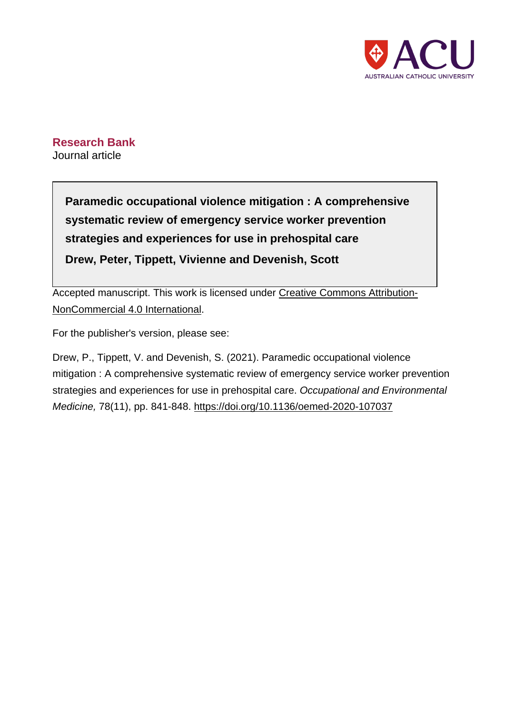

# **Research Bank** Journal article

**Paramedic occupational violence mitigation : A comprehensive systematic review of emergency service worker prevention strategies and experiences for use in prehospital care Drew, Peter, Tippett, Vivienne and Devenish, Scott**

Accepted manuscript. This work is licensed under [Creative Commons Attribution-](http://creativecommons.org/licenses/by-nc/4.0/?ref=chooser-v1)[NonCommercial 4.0 International](http://creativecommons.org/licenses/by-nc/4.0/?ref=chooser-v1).

For the publisher's version, please see:

Drew, P., Tippett, V. and Devenish, S. (2021). Paramedic occupational violence mitigation : A comprehensive systematic review of emergency service worker prevention strategies and experiences for use in prehospital care. Occupational and Environmental Medicine, 78(11), pp. 841-848. <https://doi.org/10.1136/oemed-2020-107037>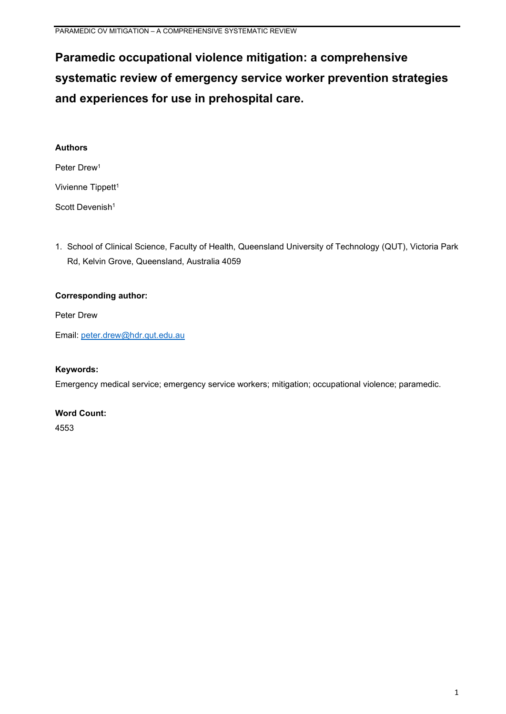# **Paramedic occupational violence mitigation: a comprehensive systematic review of emergency service worker prevention strategies and experiences for use in prehospital care.**

| <b>Authors</b>                |
|-------------------------------|
| Peter Drew <sup>1</sup>       |
| Vivienne Tippett <sup>1</sup> |
| Scott Devenish <sup>1</sup>   |

1. School of Clinical Science, Faculty of Health, Queensland University of Technology (QUT), Victoria Park Rd, Kelvin Grove, Queensland, Australia 4059

# **Corresponding author:**

Peter Drew

Email: [peter.drew@hdr.qut.edu.au](mailto:peter.drew@hdr.qut.edu.au)

# **Keywords:**

Emergency medical service; emergency service workers; mitigation; occupational violence; paramedic.

# **Word Count:**

4553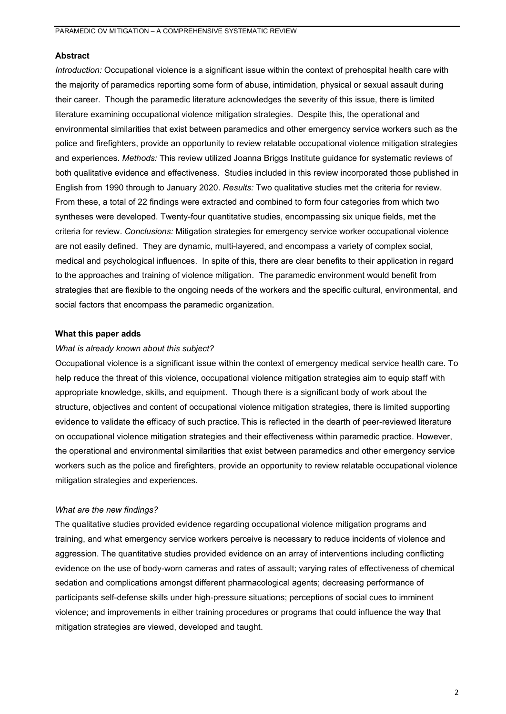#### **Abstract**

*Introduction:* Occupational violence is a significant issue within the context of prehospital health care with the majority of paramedics reporting some form of abuse, intimidation, physical or sexual assault during their career. Though the paramedic literature acknowledges the severity of this issue, there is limited literature examining occupational violence mitigation strategies. Despite this, the operational and environmental similarities that exist between paramedics and other emergency service workers such as the police and firefighters, provide an opportunity to review relatable occupational violence mitigation strategies and experiences. *Methods:* This review utilized Joanna Briggs Institute guidance for systematic reviews of both qualitative evidence and effectiveness. Studies included in this review incorporated those published in English from 1990 through to January 2020. *Results:* Two qualitative studies met the criteria for review. From these, a total of 22 findings were extracted and combined to form four categories from which two syntheses were developed. Twenty-four quantitative studies, encompassing six unique fields, met the criteria for review. *Conclusions:* Mitigation strategies for emergency service worker occupational violence are not easily defined. They are dynamic, multi-layered, and encompass a variety of complex social, medical and psychological influences. In spite of this, there are clear benefits to their application in regard to the approaches and training of violence mitigation. The paramedic environment would benefit from strategies that are flexible to the ongoing needs of the workers and the specific cultural, environmental, and social factors that encompass the paramedic organization.

## **What this paper adds**

#### *What is already known about this subject?*

Occupational violence is a significant issue within the context of emergency medical service health care. To help reduce the threat of this violence, occupational violence mitigation strategies aim to equip staff with appropriate knowledge, skills, and equipment. Though there is a significant body of work about the structure, objectives and content of occupational violence mitigation strategies, there is limited supporting evidence to validate the efficacy of such practice. This is reflected in the dearth of peer-reviewed literature on occupational violence mitigation strategies and their effectiveness within paramedic practice. However, the operational and environmental similarities that exist between paramedics and other emergency service workers such as the police and firefighters, provide an opportunity to review relatable occupational violence mitigation strategies and experiences.

#### *What are the new findings?*

The qualitative studies provided evidence regarding occupational violence mitigation programs and training, and what emergency service workers perceive is necessary to reduce incidents of violence and aggression. The quantitative studies provided evidence on an array of interventions including conflicting evidence on the use of body-worn cameras and rates of assault; varying rates of effectiveness of chemical sedation and complications amongst different pharmacological agents; decreasing performance of participants self-defense skills under high-pressure situations; perceptions of social cues to imminent violence; and improvements in either training procedures or programs that could influence the way that mitigation strategies are viewed, developed and taught.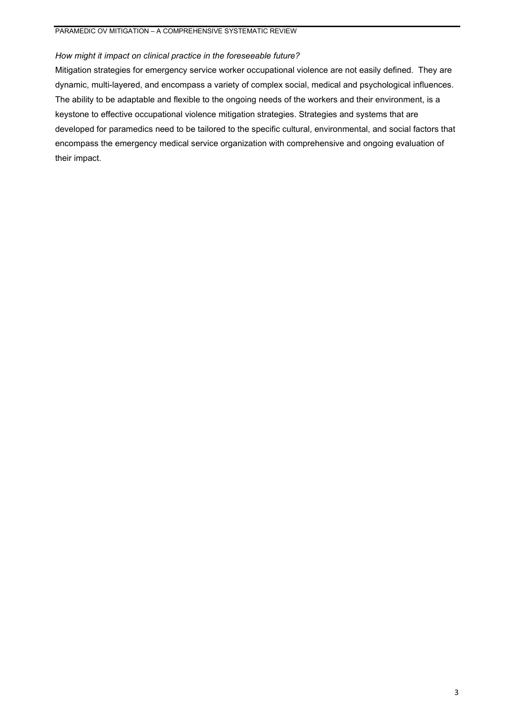# *How might it impact on clinical practice in the foreseeable future?*

Mitigation strategies for emergency service worker occupational violence are not easily defined. They are dynamic, multi-layered, and encompass a variety of complex social, medical and psychological influences. The ability to be adaptable and flexible to the ongoing needs of the workers and their environment, is a keystone to effective occupational violence mitigation strategies. Strategies and systems that are developed for paramedics need to be tailored to the specific cultural, environmental, and social factors that encompass the emergency medical service organization with comprehensive and ongoing evaluation of their impact.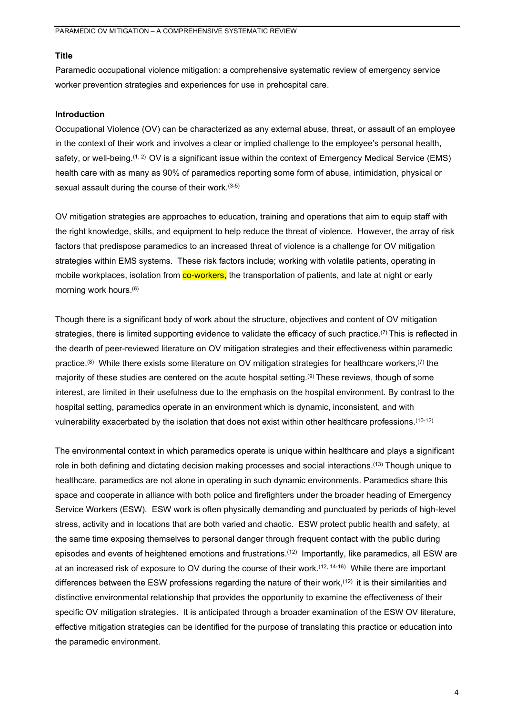#### **Title**

Paramedic occupational violence mitigation: a comprehensive systematic review of emergency service worker prevention strategies and experiences for use in prehospital care.

#### **Introduction**

Occupational Violence (OV) can be characterized as any external abuse, threat, or assault of an employee in the context of their work and involves a clear or implied challenge to the employee's personal health, safety, or well-being. $^{(1,\,2)}$  OV is a significant issue within the context of Emergency Medical Service (EMS) health care with as many as 90% of paramedics reporting some form of abuse, intimidation, physical or sexual assault during the course of their work. (3-5)

OV mitigation strategies are approaches to education, training and operations that aim to equip staff with the right knowledge, skills, and equipment to help reduce the threat of violence. However, the array of risk factors that predispose paramedics to an increased threat of violence is a challenge for OV mitigation strategies within EMS systems. These risk factors include; working with volatile patients, operating in mobile workplaces, isolation from **co-workers**, the transportation of patients, and late at night or early morning work hours. (6)

Though there is a significant body of work about the structure, objectives and content of OV mitigation strategies, there is limited supporting evidence to validate the efficacy of such practice.<sup>(7)</sup> This is reflected in the dearth of peer-reviewed literature on OV mitigation strategies and their effectiveness within paramedic practice.<sup>(8)</sup> While there exists some literature on OV mitigation strategies for healthcare workers,<sup>(7)</sup> the majority of these studies are centered on the acute hospital setting. $^{(9)}$  These reviews, though of some interest, are limited in their usefulness due to the emphasis on the hospital environment. By contrast to the hospital setting, paramedics operate in an environment which is dynamic, inconsistent, and with vulnerability exacerbated by the isolation that does not exist within other healthcare professions.<sup>(10-12)</sup>

The environmental context in which paramedics operate is unique within healthcare and plays a significant role in both defining and dictating decision making processes and social interactions. $^{(13)}$  Though unique to healthcare, paramedics are not alone in operating in such dynamic environments. Paramedics share this space and cooperate in alliance with both police and firefighters under the broader heading of Emergency Service Workers (ESW). ESW work is often physically demanding and punctuated by periods of high-level stress, activity and in locations that are both varied and chaotic. ESW protect public health and safety, at the same time exposing themselves to personal danger through frequent contact with the public during episodes and events of heightened emotions and frustrations. $(12)$  Importantly, like paramedics, all ESW are at an increased risk of exposure to OV during the course of their work.<sup>(12, 14-16)</sup> While there are important differences between the ESW professions regarding the nature of their work,<sup> $(12)$ </sup> it is their similarities and distinctive environmental relationship that provides the opportunity to examine the effectiveness of their specific OV mitigation strategies. It is anticipated through a broader examination of the ESW OV literature, effective mitigation strategies can be identified for the purpose of translating this practice or education into the paramedic environment.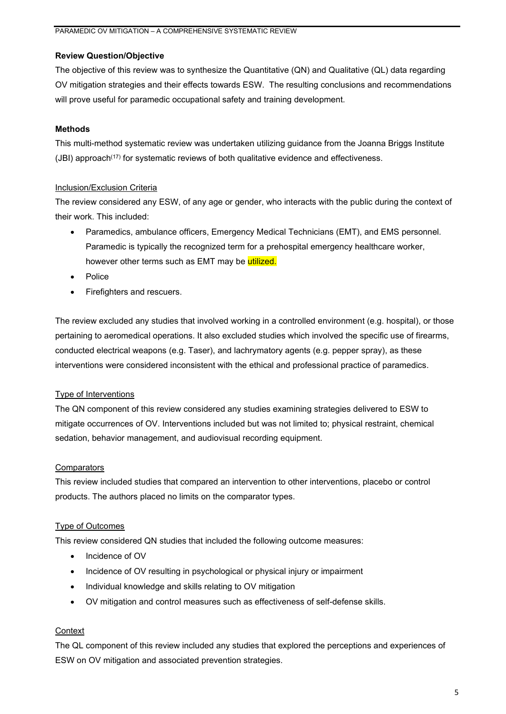# **Review Question/Objective**

The objective of this review was to synthesize the Quantitative (QN) and Qualitative (QL) data regarding OV mitigation strategies and their effects towards ESW. The resulting conclusions and recommendations will prove useful for paramedic occupational safety and training development.

# **Methods**

This multi-method systematic review was undertaken utilizing guidance from the Joanna Briggs Institute  $(JBI)$  approach<sup> $(17)$ </sup> for systematic reviews of both qualitative evidence and effectiveness.

# Inclusion/Exclusion Criteria

The review considered any ESW, of any age or gender, who interacts with the public during the context of their work. This included:

- Paramedics, ambulance officers, Emergency Medical Technicians (EMT), and EMS personnel. Paramedic is typically the recognized term for a prehospital emergency healthcare worker, however other terms such as EMT may be utilized.
- Police
- Firefighters and rescuers.

The review excluded any studies that involved working in a controlled environment (e.g. hospital), or those pertaining to aeromedical operations. It also excluded studies which involved the specific use of firearms, conducted electrical weapons (e.g. Taser), and lachrymatory agents (e.g. pepper spray), as these interventions were considered inconsistent with the ethical and professional practice of paramedics.

# Type of Interventions

The QN component of this review considered any studies examining strategies delivered to ESW to mitigate occurrences of OV. Interventions included but was not limited to; physical restraint, chemical sedation, behavior management, and audiovisual recording equipment.

# **Comparators**

This review included studies that compared an intervention to other interventions, placebo or control products. The authors placed no limits on the comparator types.

# Type of Outcomes

This review considered QN studies that included the following outcome measures:

- Incidence of OV
- Incidence of OV resulting in psychological or physical injury or impairment
- Individual knowledge and skills relating to OV mitigation
- OV mitigation and control measures such as effectiveness of self-defense skills.

# **Context**

The QL component of this review included any studies that explored the perceptions and experiences of ESW on OV mitigation and associated prevention strategies.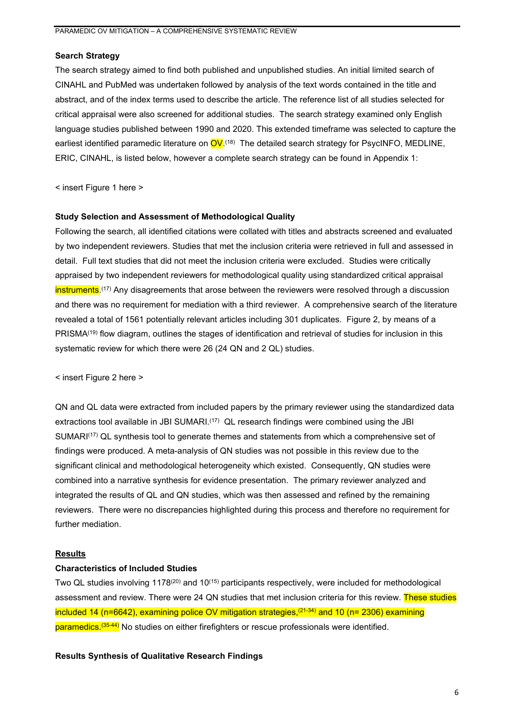## **Search Strategy**

The search strategy aimed to find both published and unpublished studies. An initial limited search of CINAHL and PubMed was undertaken followed by analysis of the text words contained in the title and abstract, and of the index terms used to describe the article. The reference list of all studies selected for critical appraisal were also screened for additional studies. The search strategy examined only English language studies published between 1990 and 2020. This extended timeframe was selected to capture the earliest identified paramedic literature on <mark>OV</mark>.<sup>(18)</sup> The detailed search strategy for PsycINFO, MEDLINE, ERIC, CINAHL, is listed below, however a complete search strategy can be found in Appendix 1:

< insert Figure 1 here >

#### **Study Selection and Assessment of Methodological Quality**

Following the search, all identified citations were collated with titles and abstracts screened and evaluated by two independent reviewers. Studies that met the inclusion criteria were retrieved in full and assessed in detail. Full text studies that did not meet the inclusion criteria were excluded. Studies were critically appraised by two independent reviewers for methodological quality using standardized critical appraisal <mark>instruments</mark>.<sup>(17)</sup> Any disagreements that arose between the reviewers were resolved through a discussion and there was no requirement for mediation with a third reviewer. A comprehensive search of the literature revealed a total of 1561 potentially relevant articles including 301 duplicates. Figure 2, by means of a PRISMA<sup>(19)</sup> flow diagram, outlines the stages of identification and retrieval of studies for inclusion in this systematic review for which there were 26 (24 QN and 2 QL) studies.

< insert Figure 2 here >

QN and QL data were extracted from included papers by the primary reviewer using the standardized data extractions tool available in JBI SUMARI.<sup>(17)</sup> QL research findings were combined using the JBI SUMARI<sup>(17)</sup> QL synthesis tool to generate themes and statements from which a comprehensive set of findings were produced. A meta-analysis of QN studies was not possible in this review due to the significant clinical and methodological heterogeneity which existed. Consequently, QN studies were combined into a narrative synthesis for evidence presentation. The primary reviewer analyzed and integrated the results of QL and QN studies, which was then assessed and refined by the remaining reviewers. There were no discrepancies highlighted during this process and therefore no requirement for further mediation.

# **Results**

#### **Characteristics of Included Studies**

Two QL studies involving 1178(20) and 10(15) participants respectively, were included for methodological assessment and review. There were 24 QN studies that met inclusion criteria for this review. These studies included 14 (n=6642), examining police OV mitigation strategies, (21-34) and 10 (n= 2306) examining <mark>paramedics.<sup>(35-44)</mark> No studies on either firefighters or rescue professionals were identified.</mark></sup>

#### **Results Synthesis of Qualitative Research Findings**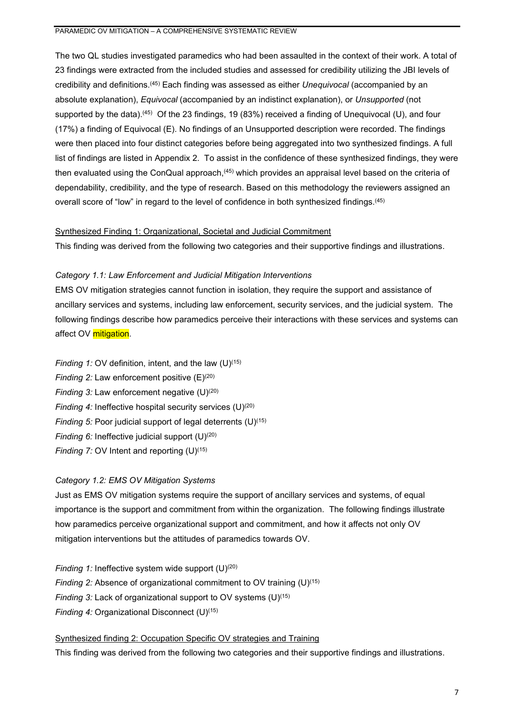The two QL studies investigated paramedics who had been assaulted in the context of their work. A total of 23 findings were extracted from the included studies and assessed for credibility utilizing the JBI levels of credibility and definitions. (45) Each finding was assessed as either *Unequivocal* (accompanied by an absolute explanation), *Equivocal* (accompanied by an indistinct explanation), or *Unsupported* (not supported by the data).<sup>(45)</sup> Of the 23 findings, 19 (83%) received a finding of Unequivocal (U), and four (17%) a finding of Equivocal (E). No findings of an Unsupported description were recorded. The findings were then placed into four distinct categories before being aggregated into two synthesized findings. A full list of findings are listed in Appendix 2. To assist in the confidence of these synthesized findings, they were then evaluated using the ConQual approach,<sup>(45)</sup> which provides an appraisal level based on the criteria of dependability, credibility, and the type of research. Based on this methodology the reviewers assigned an overall score of "low" in regard to the level of confidence in both synthesized findings.(45)

## Synthesized Finding 1: Organizational, Societal and Judicial Commitment

This finding was derived from the following two categories and their supportive findings and illustrations.

## *Category 1.1: Law Enforcement and Judicial Mitigation Interventions*

EMS OV mitigation strategies cannot function in isolation, they require the support and assistance of ancillary services and systems, including law enforcement, security services, and the judicial system. The following findings describe how paramedics perceive their interactions with these services and systems can affect OV mitigation.

- *Finding 1:* OV definition, intent, and the law (U)<sup>(15)</sup>
- *Finding 2:* Law enforcement positive (E)<sup>(20)</sup>
- *Finding 3:* Law enforcement negative (U)<sup>(20)</sup>
- *Finding 4:* Ineffective hospital security services (U)<sup>(20)</sup>
- *Finding 5:* Poor judicial support of legal deterrents (U)<sup>(15)</sup>
- *Finding 6:* Ineffective judicial support (U)<sup>(20)</sup>
- *Finding 7:* OV Intent and reporting (U)<sup>(15)</sup>

# *Category 1.2: EMS OV Mitigation Systems*

Just as EMS OV mitigation systems require the support of ancillary services and systems, of equal importance is the support and commitment from within the organization. The following findings illustrate how paramedics perceive organizational support and commitment, and how it affects not only OV mitigation interventions but the attitudes of paramedics towards OV.

*Finding 1:* Ineffective system wide support (U)<sup>(20)</sup> *Finding 2:* Absence of organizational commitment to OV training (U)<sup>(15)</sup> *Finding 3:* Lack of organizational support to OV systems (U)<sup>(15)</sup> *Finding 4:* Organizational Disconnect (U)(15)

Synthesized finding 2: Occupation Specific OV strategies and Training This finding was derived from the following two categories and their supportive findings and illustrations.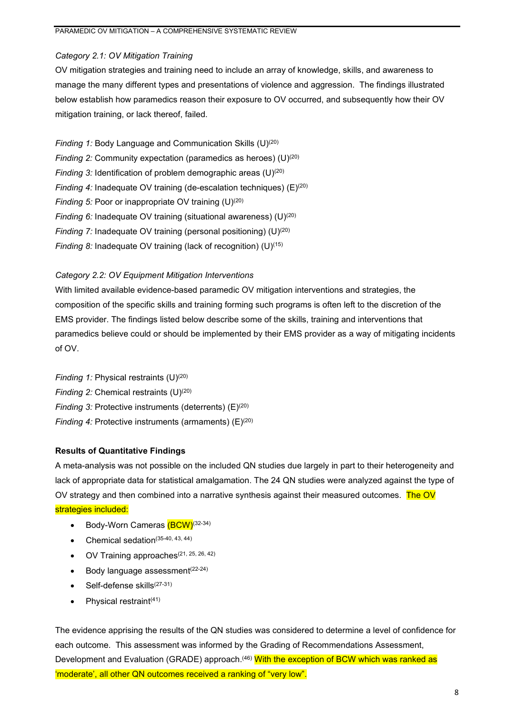# *Category 2.1: OV Mitigation Training*

OV mitigation strategies and training need to include an array of knowledge, skills, and awareness to manage the many different types and presentations of violence and aggression. The findings illustrated below establish how paramedics reason their exposure to OV occurred, and subsequently how their OV mitigation training, or lack thereof, failed.

*Finding 1:* Body Language and Communication Skills (U)(20) *Finding 2:* Community expectation (paramedics as heroes) (U)<sup>(20)</sup> *Finding 3:* Identification of problem demographic areas (U)<sup>(20)</sup> *Finding 4:* Inadequate OV training (de-escalation techniques) (E)<sup>(20)</sup> *Finding 5:* Poor or inappropriate OV training (U)<sup>(20)</sup> *Finding 6:* Inadequate OV training (situational awareness) (U)<sup>(20)</sup> *Finding 7:* Inadequate OV training (personal positioning) (U)<sup>(20)</sup> *Finding 8:* Inadequate OV training (lack of recognition) (U)<sup>(15)</sup>

## *Category 2.2: OV Equipment Mitigation Interventions*

With limited available evidence-based paramedic OV mitigation interventions and strategies, the composition of the specific skills and training forming such programs is often left to the discretion of the EMS provider. The findings listed below describe some of the skills, training and interventions that paramedics believe could or should be implemented by their EMS provider as a way of mitigating incidents of OV.

*Finding 1:* Physical restraints (U)<sup>(20)</sup> *Finding 2:* Chemical restraints (U)<sup>(20)</sup> *Finding 3: Protective instruments (deterrents)* (E)<sup>(20)</sup> *Finding 4:* Protective instruments (armaments) (E)<sup>(20)</sup>

#### **Results of Quantitative Findings**

A meta-analysis was not possible on the included QN studies due largely in part to their heterogeneity and lack of appropriate data for statistical amalgamation. The 24 QN studies were analyzed against the type of OV strategy and then combined into a narrative synthesis against their measured outcomes. The OV strategies included:

- Body-Worn Cameras (BCW)<sup>(32-34)</sup>
- Chemical sedation(35-40, 43, 44)
- $\bullet$  OV Training approaches $(21, 25, 26, 42)$
- Body language assessment<sup>(22-24)</sup>
- $\bullet$  Self-defense skills $(27-31)$
- Physical restraint<sup>(41)</sup>

The evidence apprising the results of the QN studies was considered to determine a level of confidence for each outcome. This assessment was informed by the Grading of Recommendations Assessment, Development and Evaluation (GRADE) approach.<sup>(46)</sup> With the exception of BCW which was ranked as 'moderate', all other QN outcomes received a ranking of "very low".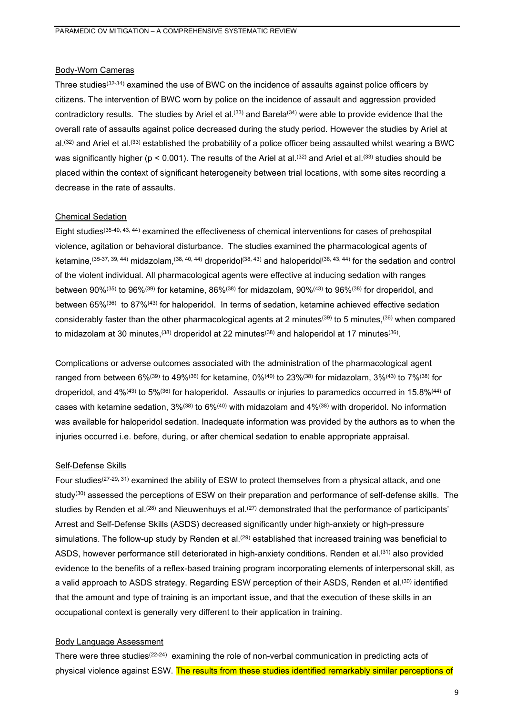#### Body-Worn Cameras

Three studies<sup>(32-34)</sup> examined the use of BWC on the incidence of assaults against police officers by citizens. The intervention of BWC worn by police on the incidence of assault and aggression provided contradictory results. The studies by Ariel et al.<sup>(33)</sup> and Barela<sup>(34)</sup> were able to provide evidence that the overall rate of assaults against police decreased during the study period. However the studies by Ariel at al.<sup>(32)</sup> and Ariel et al.<sup>(33)</sup> established the probability of a police officer being assaulted whilst wearing a BWC was significantly higher ( $p < 0.001$ ). The results of the Ariel at al.<sup>(32)</sup> and Ariel et al.<sup>(33)</sup> studies should be placed within the context of significant heterogeneity between trial locations, with some sites recording a decrease in the rate of assaults.

#### Chemical Sedation

Eight studies(35-40, 43, 44) examined the effectiveness of chemical interventions for cases of prehospital violence, agitation or behavioral disturbance. The studies examined the pharmacological agents of ketamine,<sup>(35-37, 39, 44)</sup> midazolam,<sup>(38, 40, 44)</sup> droperidol<sup>(38, 43)</sup> and haloperidol<sup>(36, 43, 44)</sup> for the sedation and control of the violent individual. All pharmacological agents were effective at inducing sedation with ranges between 90%(35) to 96%(39) for ketamine, 86%(38) for midazolam, 90%(43) to 96%(38) for droperidol, and between 65%<sup>(36)</sup> to 87%<sup>(43)</sup> for haloperidol. In terms of sedation, ketamine achieved effective sedation considerably faster than the other pharmacological agents at 2 minutes<sup>(39)</sup> to 5 minutes.<sup>(36)</sup> when compared to midazolam at 30 minutes,  $(38)$  droperidol at 22 minutes $(38)$  and haloperidol at 17 minutes $(36)$ .

Complications or adverse outcomes associated with the administration of the pharmacological agent ranged from between 6%<sup>(39)</sup> to 49%<sup>(36)</sup> for ketamine, 0%<sup>(40)</sup> to 23%<sup>(38)</sup> for midazolam, 3%<sup>(43)</sup> to 7%<sup>(38)</sup> for droperidol, and 4%(43) to 5%(36) for haloperidol. Assaults or injuries to paramedics occurred in 15.8%(44) of cases with ketamine sedation,  $3\%/38}$  to  $6\%/40}$  with midazolam and  $4\%/38}$  with droperidol. No information was available for haloperidol sedation. Inadequate information was provided by the authors as to when the injuries occurred i.e. before, during, or after chemical sedation to enable appropriate appraisal.

#### Self-Defense Skills

Four studies<sup>(27-29, 31)</sup> examined the ability of ESW to protect themselves from a physical attack, and one study<sup>(30)</sup> assessed the perceptions of ESW on their preparation and performance of self-defense skills. The studies by Renden et al.<sup>(28)</sup> and Nieuwenhuys et al.<sup>(27)</sup> demonstrated that the performance of participants' Arrest and Self-Defense Skills (ASDS) decreased significantly under high-anxiety or high-pressure simulations. The follow-up study by Renden et al.<sup>(29)</sup> established that increased training was beneficial to ASDS, however performance still deteriorated in high-anxiety conditions. Renden et al.(31) also provided evidence to the benefits of a reflex-based training program incorporating elements of interpersonal skill, as a valid approach to ASDS strategy. Regarding ESW perception of their ASDS, Renden et al.(30) identified that the amount and type of training is an important issue, and that the execution of these skills in an occupational context is generally very different to their application in training.

# Body Language Assessment

There were three studies(22-24) examining the role of non-verbal communication in predicting acts of physical violence against ESW. The results from these studies identified remarkably similar perceptions of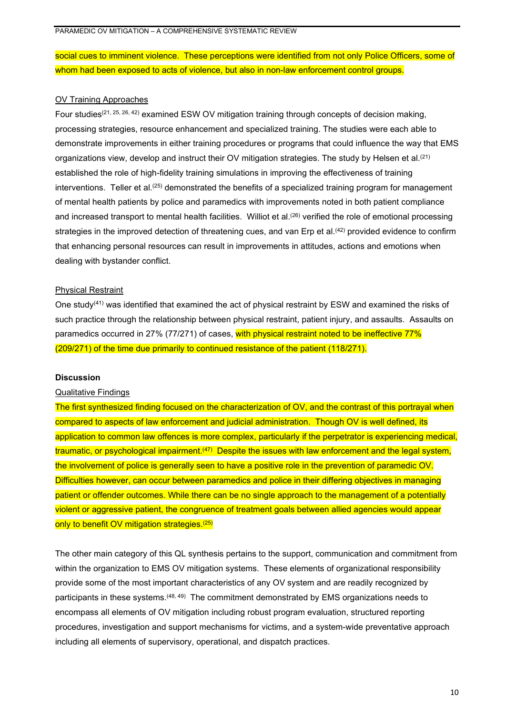social cues to imminent violence. These perceptions were identified from not only Police Officers, some of whom had been exposed to acts of violence, but also in non-law enforcement control groups.

#### OV Training Approaches

Four studies(21, 25, 26, 42) examined ESW OV mitigation training through concepts of decision making, processing strategies, resource enhancement and specialized training. The studies were each able to demonstrate improvements in either training procedures or programs that could influence the way that EMS organizations view, develop and instruct their OV mitigation strategies. The study by Helsen et al.(21) established the role of high-fidelity training simulations in improving the effectiveness of training interventions. Teller et al.<sup>(25)</sup> demonstrated the benefits of a specialized training program for management of mental health patients by police and paramedics with improvements noted in both patient compliance and increased transport to mental health facilities. Williot et al.<sup>(26)</sup> verified the role of emotional processing strategies in the improved detection of threatening cues, and van Erp et al.<sup>(42)</sup> provided evidence to confirm that enhancing personal resources can result in improvements in attitudes, actions and emotions when dealing with bystander conflict.

#### Physical Restraint

One study<sup>(41)</sup> was identified that examined the act of physical restraint by ESW and examined the risks of such practice through the relationship between physical restraint, patient injury, and assaults. Assaults on paramedics occurred in 27% (77/271) of cases, with physical restraint noted to be ineffective 77% (209/271) of the time due primarily to continued resistance of the patient (118/271).

#### **Discussion**

#### Qualitative Findings

The first synthesized finding focused on the characterization of OV, and the contrast of this portrayal when compared to aspects of law enforcement and judicial administration. Though OV is well defined, its application to common law offences is more complex, particularly if the perpetrator is experiencing medical, traumatic, or psychological impairment.<sup>(47)</sup> Despite the issues with law enforcement and the legal system, the involvement of police is generally seen to have a positive role in the prevention of paramedic OV. Difficulties however, can occur between paramedics and police in their differing objectives in managing patient or offender outcomes. While there can be no single approach to the management of a potentially violent or aggressive patient, the congruence of treatment goals between allied agencies would appear only to benefit OV mitigation strategies.<sup>(25)</sup>

The other main category of this QL synthesis pertains to the support, communication and commitment from within the organization to EMS OV mitigation systems. These elements of organizational responsibility provide some of the most important characteristics of any OV system and are readily recognized by participants in these systems. (48, 49) The commitment demonstrated by EMS organizations needs to encompass all elements of OV mitigation including robust program evaluation, structured reporting procedures, investigation and support mechanisms for victims, and a system-wide preventative approach including all elements of supervisory, operational, and dispatch practices.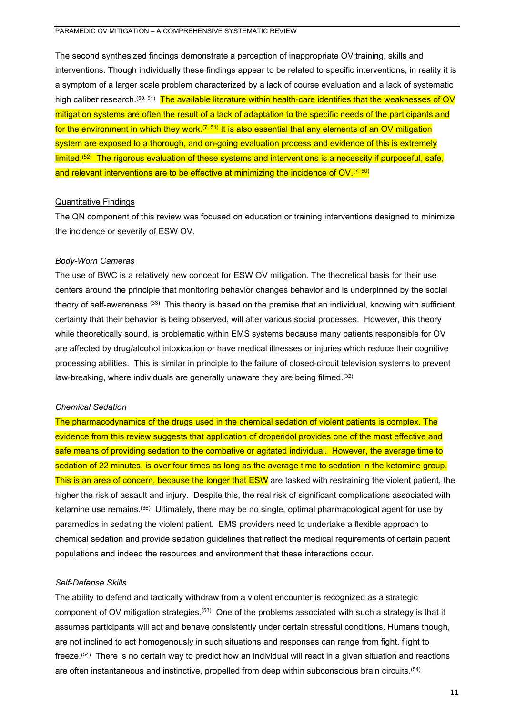The second synthesized findings demonstrate a perception of inappropriate OV training, skills and interventions. Though individually these findings appear to be related to specific interventions, in reality it is a symptom of a larger scale problem characterized by a lack of course evaluation and a lack of systematic high caliber research.<sup>(50, 51)</sup> <mark>The available literature within health-care identifies that the weaknesses of OV</mark> mitigation systems are often the result of a lack of adaptation to the specific needs of the participants and for the environment in which they work.<sup> $(7, 51)$ </sup> It is also essential that any elements of an OV mitigation system are exposed to a thorough, and on-going evaluation process and evidence of this is extremely limited. (52) The rigorous evaluation of these systems and interventions is a necessity if purposeful, safe, and relevant interventions are to be effective at minimizing the incidence of  $\mathsf{OV}^{(7, 50)}$ 

## Quantitative Findings

The QN component of this review was focused on education or training interventions designed to minimize the incidence or severity of ESW OV.

## *Body-Worn Cameras*

The use of BWC is a relatively new concept for ESW OV mitigation. The theoretical basis for their use centers around the principle that monitoring behavior changes behavior and is underpinned by the social theory of self-awareness.(33) This theory is based on the premise that an individual, knowing with sufficient certainty that their behavior is being observed, will alter various social processes. However, this theory while theoretically sound, is problematic within EMS systems because many patients responsible for OV are affected by drug/alcohol intoxication or have medical illnesses or injuries which reduce their cognitive processing abilities. This is similar in principle to the failure of closed-circuit television systems to prevent law-breaking, where individuals are generally unaware they are being filmed.<sup>(32)</sup>

# *Chemical Sedation*

The pharmacodynamics of the drugs used in the chemical sedation of violent patients is complex. The evidence from this review suggests that application of droperidol provides one of the most effective and safe means of providing sedation to the combative or agitated individual. However, the average time to sedation of 22 minutes, is over four times as long as the average time to sedation in the ketamine group. This is an area of concern, because the longer that ESW are tasked with restraining the violent patient, the higher the risk of assault and injury. Despite this, the real risk of significant complications associated with ketamine use remains.(36) Ultimately, there may be no single, optimal pharmacological agent for use by paramedics in sedating the violent patient. EMS providers need to undertake a flexible approach to chemical sedation and provide sedation guidelines that reflect the medical requirements of certain patient populations and indeed the resources and environment that these interactions occur.

#### *Self-Defense Skills*

The ability to defend and tactically withdraw from a violent encounter is recognized as a strategic component of OV mitigation strategies. $^{(53)}$  One of the problems associated with such a strategy is that it assumes participants will act and behave consistently under certain stressful conditions. Humans though, are not inclined to act homogenously in such situations and responses can range from fight, flight to freeze.(54) There is no certain way to predict how an individual will react in a given situation and reactions are often instantaneous and instinctive, propelled from deep within subconscious brain circuits.<sup>(54)</sup>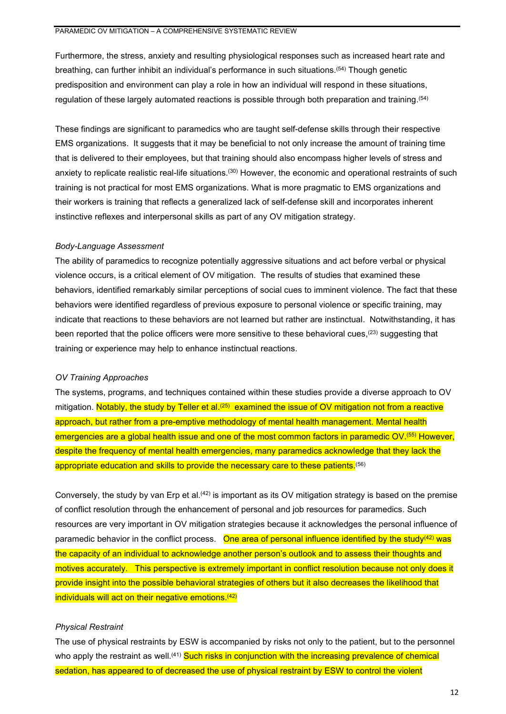Furthermore, the stress, anxiety and resulting physiological responses such as increased heart rate and breathing, can further inhibit an individual's performance in such situations. (54) Though genetic predisposition and environment can play a role in how an individual will respond in these situations, regulation of these largely automated reactions is possible through both preparation and training. $^{\left( 54\right) }$ 

These findings are significant to paramedics who are taught self-defense skills through their respective EMS organizations. It suggests that it may be beneficial to not only increase the amount of training time that is delivered to their employees, but that training should also encompass higher levels of stress and anxiety to replicate realistic real-life situations.<sup>(30)</sup> However, the economic and operational restraints of such training is not practical for most EMS organizations. What is more pragmatic to EMS organizations and their workers is training that reflects a generalized lack of self-defense skill and incorporates inherent instinctive reflexes and interpersonal skills as part of any OV mitigation strategy.

#### *Body-Language Assessment*

The ability of paramedics to recognize potentially aggressive situations and act before verbal or physical violence occurs, is a critical element of OV mitigation. The results of studies that examined these behaviors, identified remarkably similar perceptions of social cues to imminent violence. The fact that these behaviors were identified regardless of previous exposure to personal violence or specific training, may indicate that reactions to these behaviors are not learned but rather are instinctual. Notwithstanding, it has been reported that the police officers were more sensitive to these behavioral cues,<sup>(23)</sup> suggesting that training or experience may help to enhance instinctual reactions.

## *OV Training Approaches*

The systems, programs, and techniques contained within these studies provide a diverse approach to OV mitigation. Notably, the study by Teller et al.<sup>(25)</sup> examined the issue of OV mitigation not from a reactive approach, but rather from a pre-emptive methodology of mental health management. Mental health emergencies are a global health issue and one of the most common factors in paramedic OV.<sup>(55)</sup> However, despite the frequency of mental health emergencies, many paramedics acknowledge that they lack the appropriate education and skills to provide the necessary care to these patients.<sup>(56)</sup>

Conversely, the study by van Erp et al.(42) is important as its OV mitigation strategy is based on the premise of conflict resolution through the enhancement of personal and job resources for paramedics. Such resources are very important in OV mitigation strategies because it acknowledges the personal influence of paramedic behavior in the conflict process. One area of personal influence identified by the study<sup>(42)</sup> was the capacity of an individual to acknowledge another person's outlook and to assess their thoughts and motives accurately. This perspective is extremely important in conflict resolution because not only does it provide insight into the possible behavioral strategies of others but it also decreases the likelihood that individuals will act on their negative emotions. (42)

## *Physical Restraint*

The use of physical restraints by ESW is accompanied by risks not only to the patient, but to the personnel who apply the restraint as well.<sup>(41)</sup> Such risks in conjunction with the increasing prevalence of chemical sedation, has appeared to of decreased the use of physical restraint by ESW to control the violent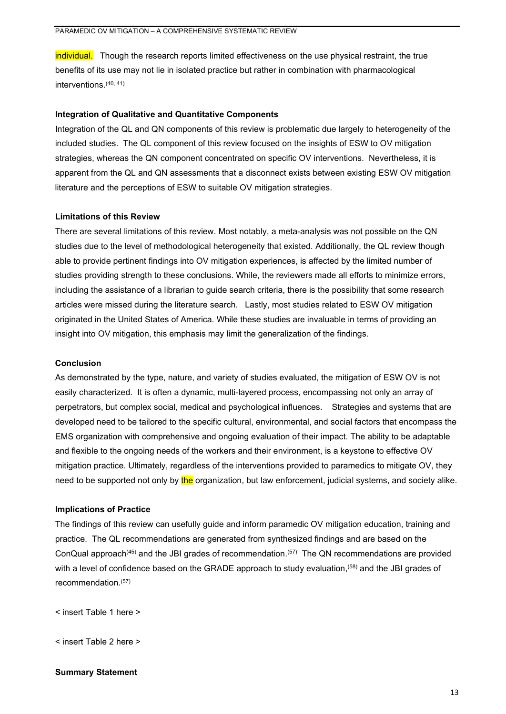individual. Though the research reports limited effectiveness on the use physical restraint, the true benefits of its use may not lie in isolated practice but rather in combination with pharmacological interventions. (40, 41)

# **Integration of Qualitative and Quantitative Components**

Integration of the QL and QN components of this review is problematic due largely to heterogeneity of the included studies. The QL component of this review focused on the insights of ESW to OV mitigation strategies, whereas the QN component concentrated on specific OV interventions. Nevertheless, it is apparent from the QL and QN assessments that a disconnect exists between existing ESW OV mitigation literature and the perceptions of ESW to suitable OV mitigation strategies.

## **Limitations of this Review**

There are several limitations of this review. Most notably, a meta-analysis was not possible on the QN studies due to the level of methodological heterogeneity that existed. Additionally, the QL review though able to provide pertinent findings into OV mitigation experiences, is affected by the limited number of studies providing strength to these conclusions. While, the reviewers made all efforts to minimize errors, including the assistance of a librarian to guide search criteria, there is the possibility that some research articles were missed during the literature search. Lastly, most studies related to ESW OV mitigation originated in the United States of America. While these studies are invaluable in terms of providing an insight into OV mitigation, this emphasis may limit the generalization of the findings.

### **Conclusion**

As demonstrated by the type, nature, and variety of studies evaluated, the mitigation of ESW OV is not easily characterized. It is often a dynamic, multi-layered process, encompassing not only an array of perpetrators, but complex social, medical and psychological influences. Strategies and systems that are developed need to be tailored to the specific cultural, environmental, and social factors that encompass the EMS organization with comprehensive and ongoing evaluation of their impact. The ability to be adaptable and flexible to the ongoing needs of the workers and their environment, is a keystone to effective OV mitigation practice. Ultimately, regardless of the interventions provided to paramedics to mitigate OV, they need to be supported not only by the organization, but law enforcement, judicial systems, and society alike.

# **Implications of Practice**

The findings of this review can usefully guide and inform paramedic OV mitigation education, training and practice. The QL recommendations are generated from synthesized findings and are based on the ConQual approach<sup>(45)</sup> and the JBI grades of recommendation.<sup>(57)</sup> The QN recommendations are provided with a level of confidence based on the GRADE approach to study evaluation,(58) and the JBI grades of recommendation. (57)

< insert Table 1 here >

< insert Table 2 here >

#### **Summary Statement**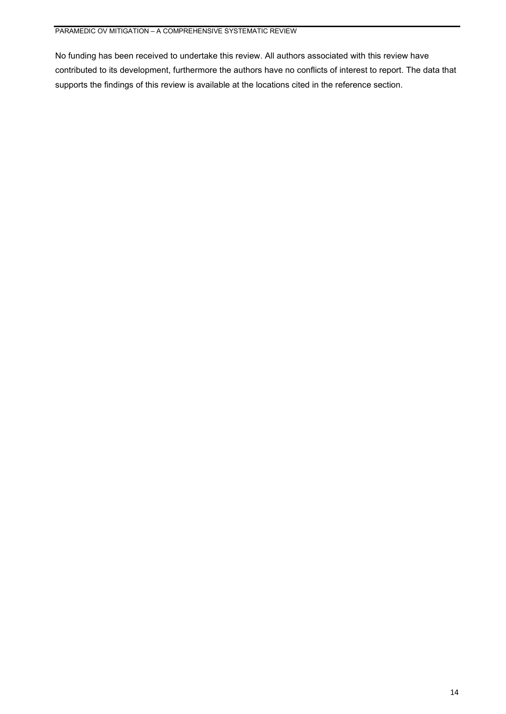No funding has been received to undertake this review. All authors associated with this review have contributed to its development, furthermore the authors have no conflicts of interest to report. The data that supports the findings of this review is available at the locations cited in the reference section.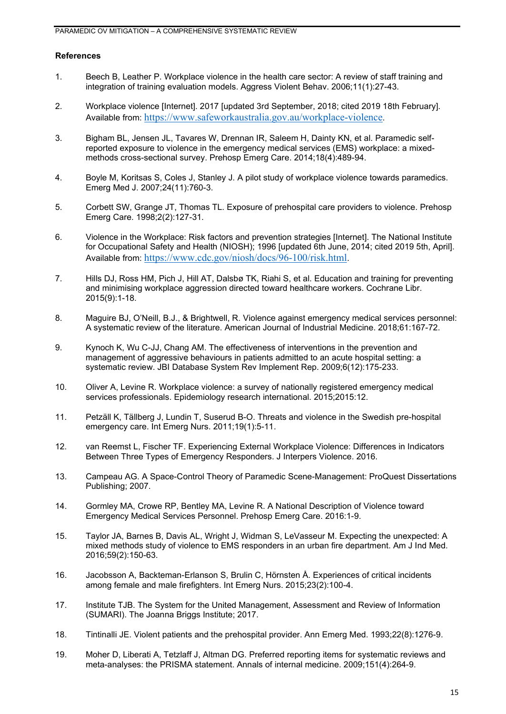# **References**

- 1. Beech B, Leather P. Workplace violence in the health care sector: A review of staff training and integration of training evaluation models. Aggress Violent Behav. 2006;11(1):27-43.
- 2. Workplace violence [Internet]. 2017 [updated 3rd September, 2018; cited 2019 18th February]. Available from: <https://www.safeworkaustralia.gov.au/workplace-violence>.
- 3. Bigham BL, Jensen JL, Tavares W, Drennan IR, Saleem H, Dainty KN, et al. Paramedic selfreported exposure to violence in the emergency medical services (EMS) workplace: a mixedmethods cross-sectional survey. Prehosp Emerg Care. 2014;18(4):489-94.
- 4. Boyle M, Koritsas S, Coles J, Stanley J. A pilot study of workplace violence towards paramedics. Emerg Med J. 2007;24(11):760-3.
- 5. Corbett SW, Grange JT, Thomas TL. Exposure of prehospital care providers to violence. Prehosp Emerg Care. 1998;2(2):127-31.
- 6. Violence in the Workplace: Risk factors and prevention strategies [Internet]. The National Institute for Occupational Safety and Health (NIOSH); 1996 [updated 6th June, 2014; cited 2019 5th, April]. Available from: <https://www.cdc.gov/niosh/docs/96-100/risk.html>.
- 7. Hills DJ, Ross HM, Pich J, Hill AT, Dalsbø TK, Riahi S, et al. Education and training for preventing and minimising workplace aggression directed toward healthcare workers. Cochrane Libr. 2015(9):1-18.
- 8. Maguire BJ, O'Neill, B.J., & Brightwell, R. Violence against emergency medical services personnel: A systematic review of the literature. American Journal of Industrial Medicine. 2018;61:167-72.
- 9. Kynoch K, Wu C-JJ, Chang AM. The effectiveness of interventions in the prevention and management of aggressive behaviours in patients admitted to an acute hospital setting: a systematic review. JBI Database System Rev Implement Rep. 2009;6(12):175-233.
- 10. Oliver A, Levine R. Workplace violence: a survey of nationally registered emergency medical services professionals. Epidemiology research international. 2015;2015:12.
- 11. Petzäll K, Tällberg J, Lundin T, Suserud B-O. Threats and violence in the Swedish pre-hospital emergency care. Int Emerg Nurs. 2011;19(1):5-11.
- 12. van Reemst L, Fischer TF. Experiencing External Workplace Violence: Differences in Indicators Between Three Types of Emergency Responders. J Interpers Violence. 2016.
- 13. Campeau AG. A Space-Control Theory of Paramedic Scene-Management: ProQuest Dissertations Publishing; 2007.
- 14. Gormley MA, Crowe RP, Bentley MA, Levine R. A National Description of Violence toward Emergency Medical Services Personnel. Prehosp Emerg Care. 2016:1-9.
- 15. Taylor JA, Barnes B, Davis AL, Wright J, Widman S, LeVasseur M. Expecting the unexpected: A mixed methods study of violence to EMS responders in an urban fire department. Am J Ind Med. 2016;59(2):150-63.
- 16. Jacobsson A, Backteman-Erlanson S, Brulin C, Hörnsten Å. Experiences of critical incidents among female and male firefighters. Int Emerg Nurs. 2015;23(2):100-4.
- 17. Institute TJB. The System for the United Management, Assessment and Review of Information (SUMARI). The Joanna Briggs Institute; 2017.
- 18. Tintinalli JE. Violent patients and the prehospital provider. Ann Emerg Med. 1993;22(8):1276-9.
- 19. Moher D, Liberati A, Tetzlaff J, Altman DG. Preferred reporting items for systematic reviews and meta-analyses: the PRISMA statement. Annals of internal medicine. 2009;151(4):264-9.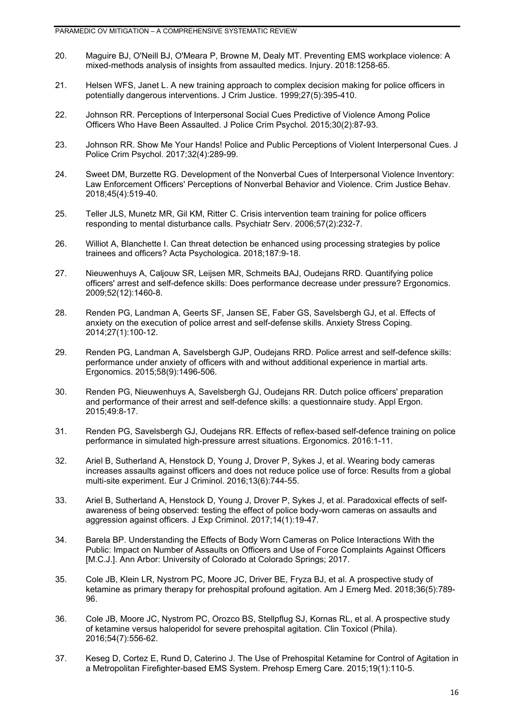- 20. Maguire BJ, O'Neill BJ, O'Meara P, Browne M, Dealy MT. Preventing EMS workplace violence: A mixed-methods analysis of insights from assaulted medics. Injury. 2018:1258-65.
- 21. Helsen WFS, Janet L. A new training approach to complex decision making for police officers in potentially dangerous interventions. J Crim Justice. 1999;27(5):395-410.
- 22. Johnson RR. Perceptions of Interpersonal Social Cues Predictive of Violence Among Police Officers Who Have Been Assaulted. J Police Crim Psychol. 2015;30(2):87-93.
- 23. Johnson RR. Show Me Your Hands! Police and Public Perceptions of Violent Interpersonal Cues. J Police Crim Psychol. 2017;32(4):289-99.
- 24. Sweet DM, Burzette RG. Development of the Nonverbal Cues of Interpersonal Violence Inventory: Law Enforcement Officers' Perceptions of Nonverbal Behavior and Violence. Crim Justice Behav. 2018;45(4):519-40.
- 25. Teller JLS, Munetz MR, Gil KM, Ritter C. Crisis intervention team training for police officers responding to mental disturbance calls. Psychiatr Serv. 2006;57(2):232-7.
- 26. Williot A, Blanchette I. Can threat detection be enhanced using processing strategies by police trainees and officers? Acta Psychologica. 2018;187:9-18.
- 27. Nieuwenhuys A, Caljouw SR, Leijsen MR, Schmeits BAJ, Oudejans RRD. Quantifying police officers' arrest and self-defence skills: Does performance decrease under pressure? Ergonomics. 2009;52(12):1460-8.
- 28. Renden PG, Landman A, Geerts SF, Jansen SE, Faber GS, Savelsbergh GJ, et al. Effects of anxiety on the execution of police arrest and self-defense skills. Anxiety Stress Coping. 2014;27(1):100-12.
- 29. Renden PG, Landman A, Savelsbergh GJP, Oudejans RRD. Police arrest and self-defence skills: performance under anxiety of officers with and without additional experience in martial arts. Ergonomics. 2015;58(9):1496-506.
- 30. Renden PG, Nieuwenhuys A, Savelsbergh GJ, Oudejans RR. Dutch police officers' preparation and performance of their arrest and self-defence skills: a questionnaire study. Appl Ergon. 2015;49:8-17.
- 31. Renden PG, Savelsbergh GJ, Oudejans RR. Effects of reflex-based self-defence training on police performance in simulated high-pressure arrest situations. Ergonomics. 2016:1-11.
- 32. Ariel B, Sutherland A, Henstock D, Young J, Drover P, Sykes J, et al. Wearing body cameras increases assaults against officers and does not reduce police use of force: Results from a global multi-site experiment. Eur J Criminol. 2016;13(6):744-55.
- 33. Ariel B, Sutherland A, Henstock D, Young J, Drover P, Sykes J, et al. Paradoxical effects of selfawareness of being observed: testing the effect of police body-worn cameras on assaults and aggression against officers. J Exp Criminol. 2017;14(1):19-47.
- 34. Barela BP. Understanding the Effects of Body Worn Cameras on Police Interactions With the Public: Impact on Number of Assaults on Officers and Use of Force Complaints Against Officers [M.C.J.]. Ann Arbor: University of Colorado at Colorado Springs; 2017.
- 35. Cole JB, Klein LR, Nystrom PC, Moore JC, Driver BE, Fryza BJ, et al. A prospective study of ketamine as primary therapy for prehospital profound agitation. Am J Emerg Med. 2018;36(5):789- 96.
- 36. Cole JB, Moore JC, Nystrom PC, Orozco BS, Stellpflug SJ, Kornas RL, et al. A prospective study of ketamine versus haloperidol for severe prehospital agitation. Clin Toxicol (Phila). 2016;54(7):556-62.
- 37. Keseg D, Cortez E, Rund D, Caterino J. The Use of Prehospital Ketamine for Control of Agitation in a Metropolitan Firefighter-based EMS System. Prehosp Emerg Care. 2015;19(1):110-5.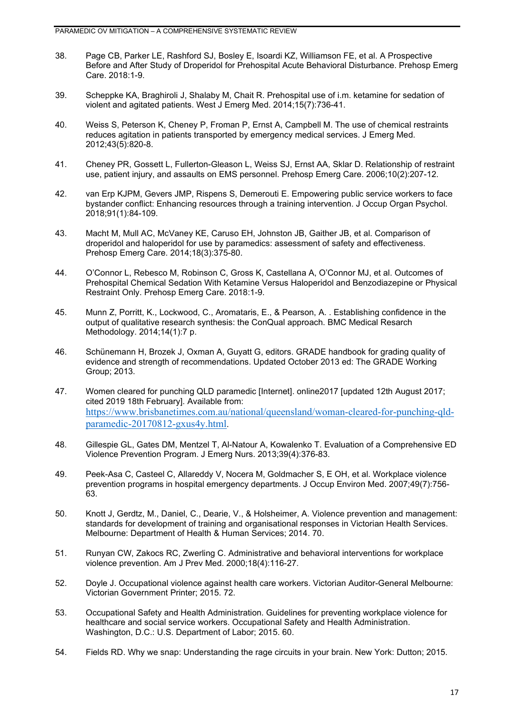- 38. Page CB, Parker LE, Rashford SJ, Bosley E, Isoardi KZ, Williamson FE, et al. A Prospective Before and After Study of Droperidol for Prehospital Acute Behavioral Disturbance. Prehosp Emerg Care. 2018:1-9.
- 39. Scheppke KA, Braghiroli J, Shalaby M, Chait R. Prehospital use of i.m. ketamine for sedation of violent and agitated patients. West J Emerg Med. 2014;15(7):736-41.
- 40. Weiss S, Peterson K, Cheney P, Froman P, Ernst A, Campbell M. The use of chemical restraints reduces agitation in patients transported by emergency medical services. J Emerg Med. 2012;43(5):820-8.
- 41. Cheney PR, Gossett L, Fullerton-Gleason L, Weiss SJ, Ernst AA, Sklar D. Relationship of restraint use, patient injury, and assaults on EMS personnel. Prehosp Emerg Care. 2006;10(2):207-12.
- 42. van Erp KJPM, Gevers JMP, Rispens S, Demerouti E. Empowering public service workers to face bystander conflict: Enhancing resources through a training intervention. J Occup Organ Psychol. 2018;91(1):84-109.
- 43. Macht M, Mull AC, McVaney KE, Caruso EH, Johnston JB, Gaither JB, et al. Comparison of droperidol and haloperidol for use by paramedics: assessment of safety and effectiveness. Prehosp Emerg Care. 2014;18(3):375-80.
- 44. O'Connor L, Rebesco M, Robinson C, Gross K, Castellana A, O'Connor MJ, et al. Outcomes of Prehospital Chemical Sedation With Ketamine Versus Haloperidol and Benzodiazepine or Physical Restraint Only. Prehosp Emerg Care. 2018:1-9.
- 45. Munn Z, Porritt, K., Lockwood, C., Aromataris, E., & Pearson, A. . Establishing confidence in the output of qualitative research synthesis: the ConQual approach. BMC Medical Resarch Methodology. 2014;14(1):7 p.
- 46. Schünemann H, Brozek J, Oxman A, Guyatt G, editors. GRADE handbook for grading quality of evidence and strength of recommendations. Updated October 2013 ed: The GRADE Working Group; 2013.
- 47. Women cleared for punching QLD paramedic [Internet]. online2017 [updated 12th August 2017; cited 2019 18th February]. Available from: [https://www.brisbanetimes.com.au/national/queensland/woman-cleared-for-punching-qld](https://www.brisbanetimes.com.au/national/queensland/woman-cleared-for-punching-qld-paramedic-20170812-gxus4y.html)[paramedic-20170812-gxus4y.html](https://www.brisbanetimes.com.au/national/queensland/woman-cleared-for-punching-qld-paramedic-20170812-gxus4y.html).
- 48. Gillespie GL, Gates DM, Mentzel T, Al-Natour A, Kowalenko T. Evaluation of a Comprehensive ED Violence Prevention Program. J Emerg Nurs. 2013;39(4):376-83.
- 49. Peek-Asa C, Casteel C, Allareddy V, Nocera M, Goldmacher S, E OH, et al. Workplace violence prevention programs in hospital emergency departments. J Occup Environ Med. 2007;49(7):756- 63.
- 50. Knott J, Gerdtz, M., Daniel, C., Dearie, V., & Holsheimer, A. Violence prevention and management: standards for development of training and organisational responses in Victorian Health Services. Melbourne: Department of Health & Human Services; 2014. 70.
- 51. Runyan CW, Zakocs RC, Zwerling C. Administrative and behavioral interventions for workplace violence prevention. Am J Prev Med. 2000;18(4):116-27.
- 52. Doyle J. Occupational violence against health care workers. Victorian Auditor-General Melbourne: Victorian Government Printer; 2015. 72.
- 53. Occupational Safety and Health Administration. Guidelines for preventing workplace violence for healthcare and social service workers. Occupational Safety and Health Administration. Washington, D.C.: U.S. Department of Labor; 2015. 60.
- 54. Fields RD. Why we snap: Understanding the rage circuits in your brain. New York: Dutton; 2015.